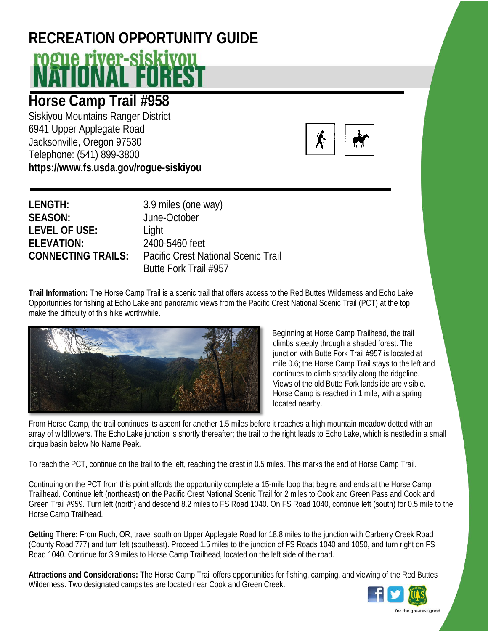## **RECREATION OPPORTUNITY GUIDE** <u>rogue river-siskivou</u>

## **Horse Camp Trail #958**

Siskiyou Mountains Ranger District 6941 Upper Applegate Road Jacksonville, Oregon 97530 Telephone: (541) 899-3800 **https://www.fs.usda.gov/rogue-siskiyou**



| LENGTH:                   | 3.9 miles (one way)                        |
|---------------------------|--------------------------------------------|
| <b>SEASON:</b>            | June-October                               |
| <b>LEVEL OF USE:</b>      | Light                                      |
| <b>ELEVATION:</b>         | 2400-5460 feet                             |
| <b>CONNECTING TRAILS:</b> | <b>Pacific Crest National Scenic Trail</b> |
|                           | Butte Fork Trail #957                      |

**Trail Information:** The Horse Camp Trail is a scenic trail that offers access to the Red Buttes Wilderness and Echo Lake. Opportunities for fishing at Echo Lake and panoramic views from the Pacific Crest National Scenic Trail (PCT) at the top make the difficulty of this hike worthwhile.



Beginning at Horse Camp Trailhead, the trail climbs steeply through a shaded forest. The junction with Butte Fork Trail #957 is located at mile 0.6; the Horse Camp Trail stays to the left and continues to climb steadily along the ridgeline. Views of the old Butte Fork landslide are visible. Horse Camp is reached in 1 mile, with a spring located nearby.

From Horse Camp, the trail continues its ascent for another 1.5 miles before it reaches a high mountain meadow dotted with an array of wildflowers. The Echo Lake junction is shortly thereafter; the trail to the right leads to Echo Lake, which is nestled in a small cirque basin below No Name Peak.

To reach the PCT, continue on the trail to the left, reaching the crest in 0.5 miles. This marks the end of Horse Camp Trail.

Continuing on the PCT from this point affords the opportunity complete a 15-mile loop that begins and ends at the Horse Camp Trailhead. Continue left (northeast) on the Pacific Crest National Scenic Trail for 2 miles to Cook and Green Pass and Cook and Green Trail #959. Turn left (north) and descend 8.2 miles to FS Road 1040. On FS Road 1040, continue left (south) for 0.5 mile to the Horse Camp Trailhead.

**Getting There:** From Ruch, OR, travel south on Upper Applegate Road for 18.8 miles to the junction with Carberry Creek Road (County Road 777) and turn left (southeast). Proceed 1.5 miles to the junction of FS Roads 1040 and 1050, and turn right on FS Road 1040. Continue for 3.9 miles to Horse Camp Trailhead, located on the left side of the road.

**Attractions and Considerations:** The Horse Camp Trail offers opportunities for fishing, camping, and viewing of the Red Buttes Wilderness. Two designated campsites are located near Cook and Green Creek.